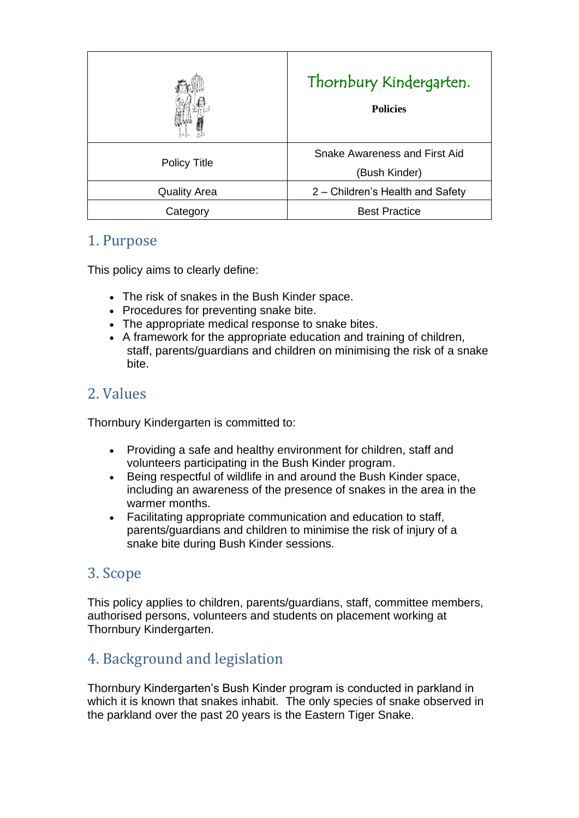|                     | Thornbury Kindergarten.<br><b>Policies</b>     |
|---------------------|------------------------------------------------|
| <b>Policy Title</b> | Snake Awareness and First Aid<br>(Bush Kinder) |
| <b>Quality Area</b> | 2 – Children's Health and Safety               |
| Category            | <b>Best Practice</b>                           |

### 1. Purpose

This policy aims to clearly define:

- The risk of snakes in the Bush Kinder space.
- Procedures for preventing snake bite.
- The appropriate medical response to snake bites.
- A framework for the appropriate education and training of children, staff, parents/guardians and children on minimising the risk of a snake bite.

## 2. Values

Thornbury Kindergarten is committed to:

- Providing a safe and healthy environment for children, staff and volunteers participating in the Bush Kinder program.
- Being respectful of wildlife in and around the Bush Kinder space, including an awareness of the presence of snakes in the area in the warmer months.
- Facilitating appropriate communication and education to staff, parents/guardians and children to minimise the risk of injury of a snake bite during Bush Kinder sessions.

### 3. Scope

This policy applies to children, parents/guardians, staff, committee members, authorised persons, volunteers and students on placement working at Thornbury Kindergarten.

## 4. Background and legislation

Thornbury Kindergarten's Bush Kinder program is conducted in parkland in which it is known that snakes inhabit. The only species of snake observed in the parkland over the past 20 years is the Eastern Tiger Snake.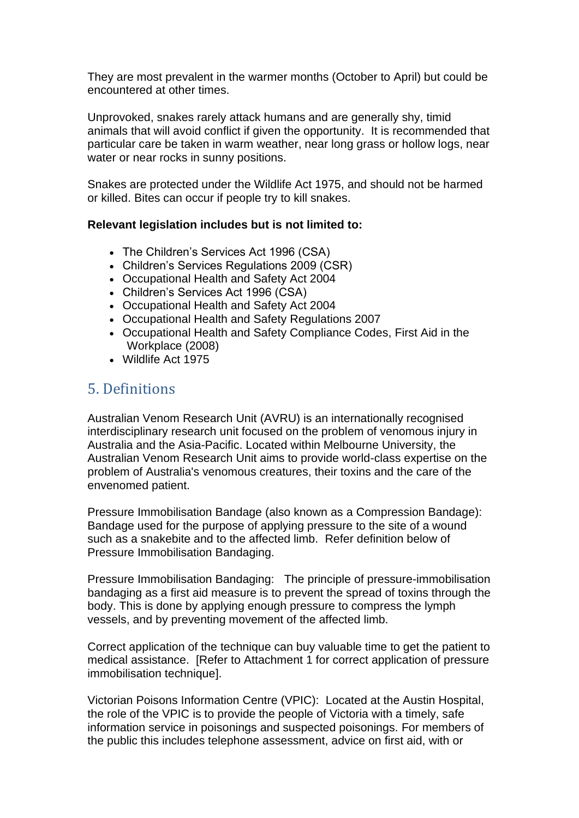They are most prevalent in the warmer months (October to April) but could be encountered at other times.

Unprovoked, snakes rarely attack humans and are generally shy, timid animals that will avoid conflict if given the opportunity. It is recommended that particular care be taken in warm weather, near long grass or hollow logs, near water or near rocks in sunny positions.

Snakes are protected under the Wildlife Act 1975, and should not be harmed or killed. Bites can occur if people try to kill snakes.

#### **Relevant legislation includes but is not limited to:**

- The Children's Services Act 1996 (CSA)
- Children's Services Regulations 2009 (CSR)
- Occupational Health and Safety Act 2004
- Children's Services Act 1996 (CSA)
- Occupational Health and Safety Act 2004
- Occupational Health and Safety Regulations 2007
- Occupational Health and Safety Compliance Codes, First Aid in the Workplace (2008)
- Wildlife Act 1975

### 5. Definitions

Australian Venom Research Unit (AVRU) is an internationally recognised interdisciplinary research unit focused on the problem of venomous injury in Australia and the Asia-Pacific. Located within Melbourne University, the Australian Venom Research Unit aims to provide world-class expertise on the problem of Australia's venomous creatures, their toxins and the care of the envenomed patient.

Pressure Immobilisation Bandage (also known as a Compression Bandage): Bandage used for the purpose of applying pressure to the site of a wound such as a snakebite and to the affected limb. Refer definition below of Pressure Immobilisation Bandaging.

Pressure Immobilisation Bandaging: The principle of pressure-immobilisation bandaging as a first aid measure is to prevent the spread of toxins through the body. This is done by applying enough pressure to compress the lymph vessels, and by preventing movement of the affected limb.

Correct application of the technique can buy valuable time to get the patient to medical assistance. [Refer to Attachment 1 for correct application of pressure immobilisation technique].

Victorian Poisons Information Centre (VPIC): Located at the Austin Hospital, the role of the VPIC is to provide the people of Victoria with a timely, safe information service in poisonings and suspected poisonings. For members of the public this includes telephone assessment, advice on first aid, with or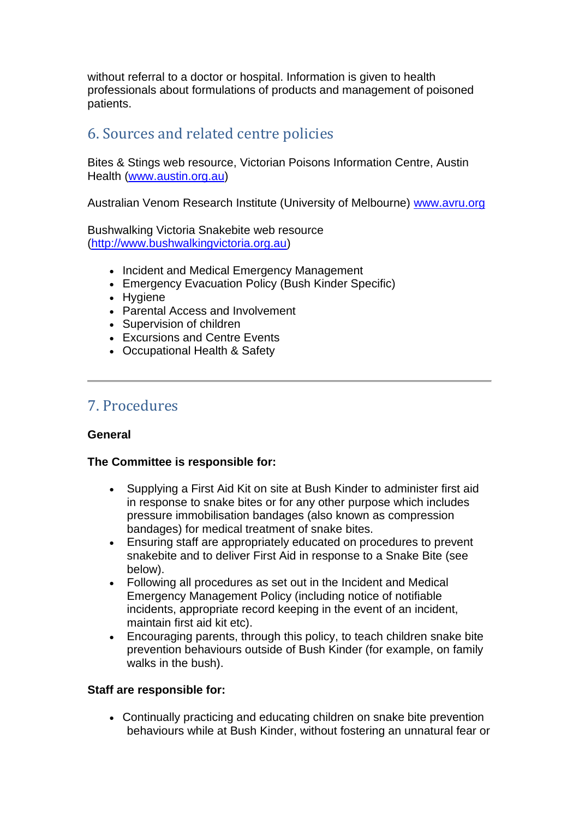without referral to a doctor or hospital. Information is given to health professionals about formulations of products and management of poisoned patients.

### 6. Sources and related centre policies

Bites & Stings web resource, Victorian Poisons Information Centre, Austin Health [\(www.austin.org.au\)](http://www.austin.org.au/)

Australian Venom Research Institute (University of Melbourne) [www.avru.org](http://www.avru.org/)

Bushwalking Victoria Snakebite web resource [\(http://www.bushwalkingvictoria.org.au\)](http://www.bushwalkingvictoria.org.au/)

- Incident and Medical Emergency Management
- Emergency Evacuation Policy (Bush Kinder Specific)
- Hygiene
- Parental Access and Involvement
- Supervision of children
- Excursions and Centre Events
- Occupational Health & Safety

### 7. Procedures

#### **General**

#### **The Committee is responsible for:**

- Supplying a First Aid Kit on site at Bush Kinder to administer first aid in response to snake bites or for any other purpose which includes pressure immobilisation bandages (also known as compression bandages) for medical treatment of snake bites.
- Ensuring staff are appropriately educated on procedures to prevent snakebite and to deliver First Aid in response to a Snake Bite (see below).
- Following all procedures as set out in the Incident and Medical Emergency Management Policy (including notice of notifiable incidents, appropriate record keeping in the event of an incident, maintain first aid kit etc).
- Encouraging parents, through this policy, to teach children snake bite prevention behaviours outside of Bush Kinder (for example, on family walks in the bush).

#### **Staff are responsible for:**

• Continually practicing and educating children on snake bite prevention behaviours while at Bush Kinder, without fostering an unnatural fear or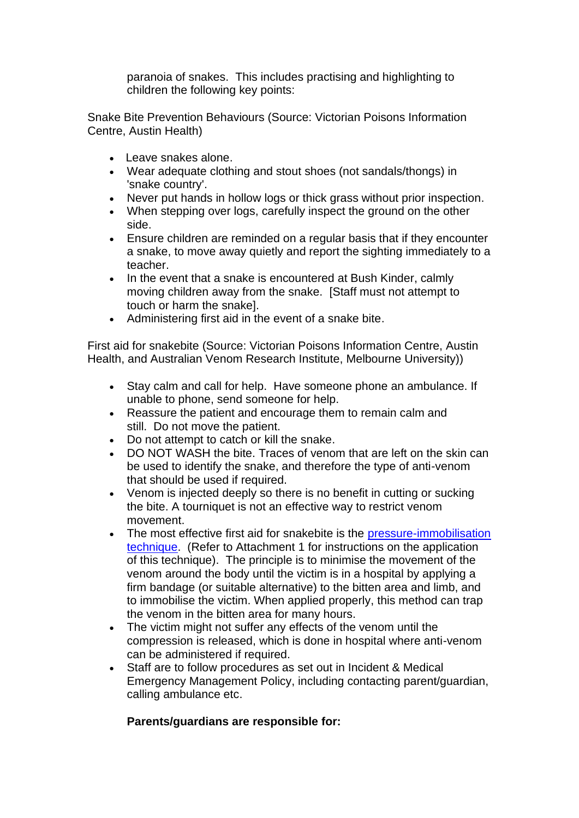paranoia of snakes. This includes practising and highlighting to children the following key points:

Snake Bite Prevention Behaviours (Source: Victorian Poisons Information Centre, Austin Health)

- Leave snakes alone.
- Wear adequate clothing and stout shoes (not sandals/thongs) in 'snake country'.
- Never put hands in hollow logs or thick grass without prior inspection.
- When stepping over logs, carefully inspect the ground on the other side.
- Ensure children are reminded on a regular basis that if they encounter a snake, to move away quietly and report the sighting immediately to a teacher.
- In the event that a snake is encountered at Bush Kinder, calmly moving children away from the snake. [Staff must not attempt to touch or harm the snake].
- Administering first aid in the event of a snake bite.

First aid for snakebite (Source: Victorian Poisons Information Centre, Austin Health, and Australian Venom Research Institute, Melbourne University))

- Stay calm and call for help. Have someone phone an ambulance. If unable to phone, send someone for help.
- Reassure the patient and encourage them to remain calm and still. Do not move the patient.
- Do not attempt to catch or kill the snake.
- DO NOT WASH the bite. Traces of venom that are left on the skin can be used to identify the snake, and therefore the type of anti-venom that should be used if required.
- Venom is injected deeply so there is no benefit in cutting or sucking the bite. A tourniquet is not an effective way to restrict venom movement.
- The most effective first aid for snakebite is the pressure-immobilisation [technique.](http://www.austin.org.au/Page.aspx?ID=534#16) (Refer to Attachment 1 for instructions on the application of this technique). The principle is to minimise the movement of the venom around the body until the victim is in a hospital by applying a firm bandage (or suitable alternative) to the bitten area and limb, and to immobilise the victim. When applied properly, this method can trap the venom in the bitten area for many hours.
- The victim might not suffer any effects of the venom until the compression is released, which is done in hospital where anti-venom can be administered if required.
- Staff are to follow procedures as set out in Incident & Medical Emergency Management Policy, including contacting parent/guardian, calling ambulance etc.

### **Parents/guardians are responsible for:**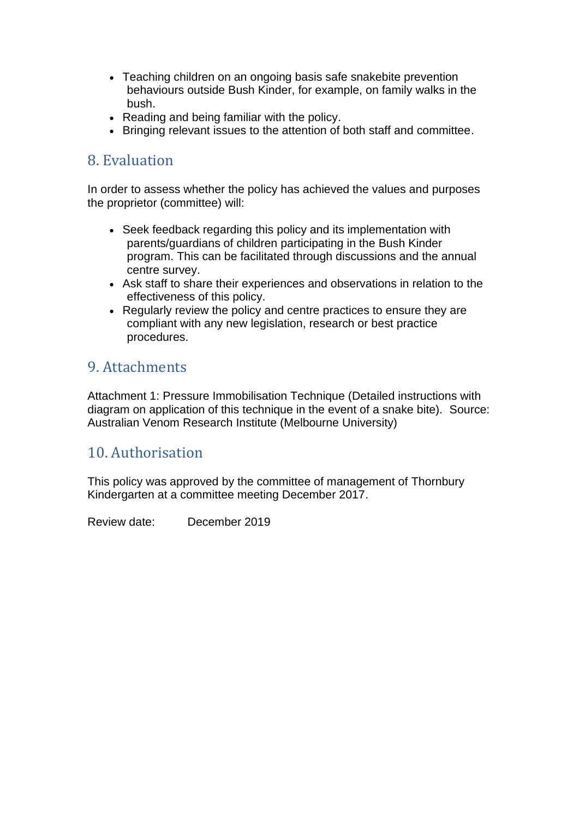- Teaching children on an ongoing basis safe snakebite prevention behaviours outside Bush Kinder, for example, on family walks in the bush.
- Reading and being familiar with the policy.
- Bringing relevant issues to the attention of both staff and committee.

### 8. Evaluation

In order to assess whether the policy has achieved the values and purposes the proprietor (committee) will:

- Seek feedback regarding this policy and its implementation with parents/guardians of children participating in the Bush Kinder program. This can be facilitated through discussions and the annual centre survey.
- Ask staff to share their experiences and observations in relation to the effectiveness of this policy.
- Regularly review the policy and centre practices to ensure they are compliant with any new legislation, research or best practice procedures.

### 9. Attachments

Attachment 1: Pressure Immobilisation Technique (Detailed instructions with diagram on application of this technique in the event of a snake bite). Source: Australian Venom Research Institute (Melbourne University)

### 10. Authorisation

This policy was approved by the committee of management of Thornbury Kindergarten at a committee meeting December 2017.

Review date: December 2019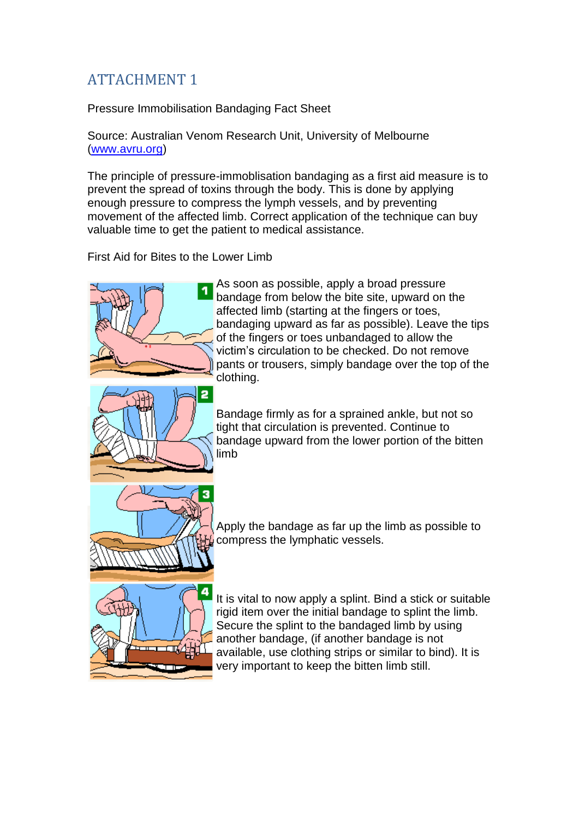# ATTACHMENT 1

Pressure Immobilisation Bandaging Fact Sheet

Source: Australian Venom Research Unit, University of Melbourne [\(www.avru.org\)](http://www.avru.org/)

The principle of pressure-immoblisation bandaging as a first aid measure is to prevent the spread of toxins through the body. This is done by applying enough pressure to compress the lymph vessels, and by preventing movement of the affected limb. Correct application of the technique can buy valuable time to get the patient to medical assistance.

First Aid for Bites to the Lower Limb



As soon as possible, apply a broad pressure bandage from below the bite site, upward on the affected limb (starting at the fingers or toes, bandaging upward as far as possible). Leave the tips of the fingers or toes unbandaged to allow the victim's circulation to be checked. Do not remove pants or trousers, simply bandage over the top of the clothing.



Bandage firmly as for a sprained ankle, but not so tight that circulation is prevented. Continue to bandage upward from the lower portion of the bitten limb



Apply the bandage as far up the limb as possible to compress the lymphatic vessels.



It is vital to now apply a splint. Bind a stick or suitable rigid item over the initial bandage to splint the limb. Secure the splint to the bandaged limb by using another bandage, (if another bandage is not available, use clothing strips or similar to bind). It is very important to keep the bitten limb still.